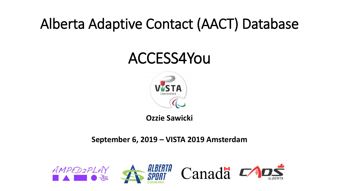#### Alberta Adaptive Contact (AACT) Database

#### ACCESS4You



**Ozzie Sawicki**

#### **September 6, 2019 – VISTA 2019 Amsterdam**







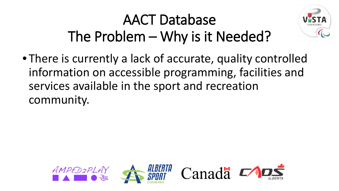# AACT Database The Problem – Why is it Needed?



• There is currently a lack of accurate, quality controlled information on accessible programming, facilities and services available in the sport and recreation community.

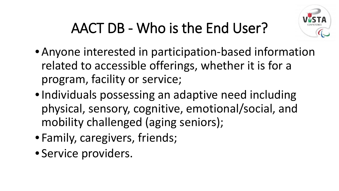

# AACT DB - Who is the End User?

- Anyone interested in participation-based information related to accessible offerings, whether it is for a program, facility or service;
- •Individuals possessing an adaptive need including physical, sensory, cognitive, emotional/social, and mobility challenged (aging seniors);
- Family, caregivers, friends;
- Service providers.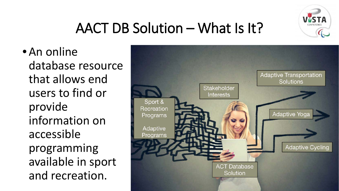

#### AACT DB Solution – What Is It?

• An online database resource that allows end users to find or provide information on accessible programming available in sport and recreation.

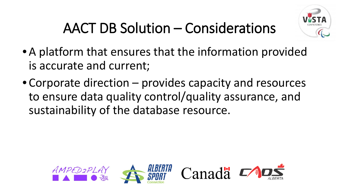

# AACT DB Solution – Considerations

- A platform that ensures that the information provided is accurate and current;
- Corporate direction provides capacity and resources to ensure data quality control/quality assurance, and sustainability of the database resource.

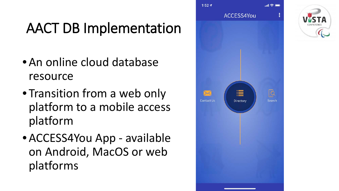# AACT DB Implementation

- An online cloud database resource
- Transition from a web only platform to a mobile access platform
- ACCESS4You App available on Android, MacOS or web platforms



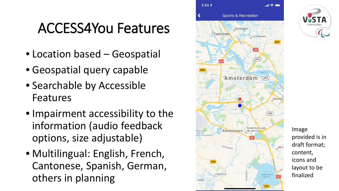#### ACCESS4You Features

- Location based Geospatial
- Geospatial query capable
- Searchable by Accessible Features
- Impairment accessibility to the information (audio feedback options, size adjustable)
- Multilingual: English, French, Cantonese, Spanish, German, others in planning

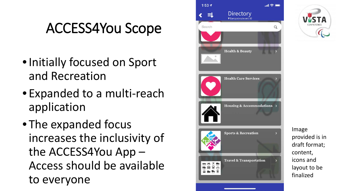#### ACCESS4You Scope

- •Initially focused on Sport and Recreation
- Expanded to a multi -reach application
- The expanded focus increases the inclusivity of the ACCESS4You App – Access should be available to everyone

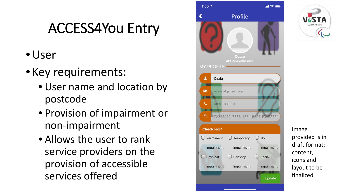## ACCESS4You Entry

- •User
- Key requirements:
	- User name and location by postcode
	- Provision of impairment or non -impairment
	- Allows the user to rank service providers on the provision of accessible services offered

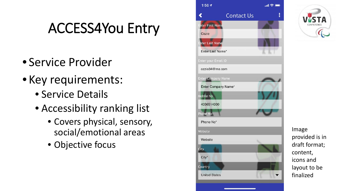#### ACCESS4You Entry

- Service Provider
- Key requirements:
	- Service Details
	- Accessibility ranking list
		- Covers physical, sensory, social/emotional areas
		- Objective focus

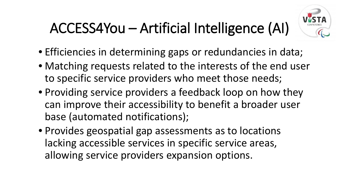# ACCESS4You – Artificial Intelligence (AI)



- Efficiencies in determining gaps or redundancies in data;
- Matching requests related to the interests of the end user to specific service providers who meet those needs;
- Providing service providers a feedback loop on how they can improve their accessibility to benefit a broader user base (automated notifications);
- Provides geospatial gap assessments as to locations lacking accessible services in specific service areas, allowing service providers expansion options.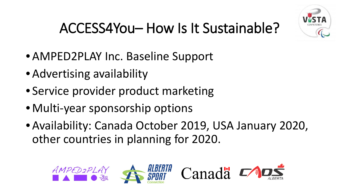

# ACCESS4You– How Is It Sustainable?

- AMPED2PLAY Inc. Baseline Support
- Advertising availability
- Service provider product marketing
- Multi-year sponsorship options
- Availability: Canada October 2019, USA January 2020, other countries in planning for 2020.